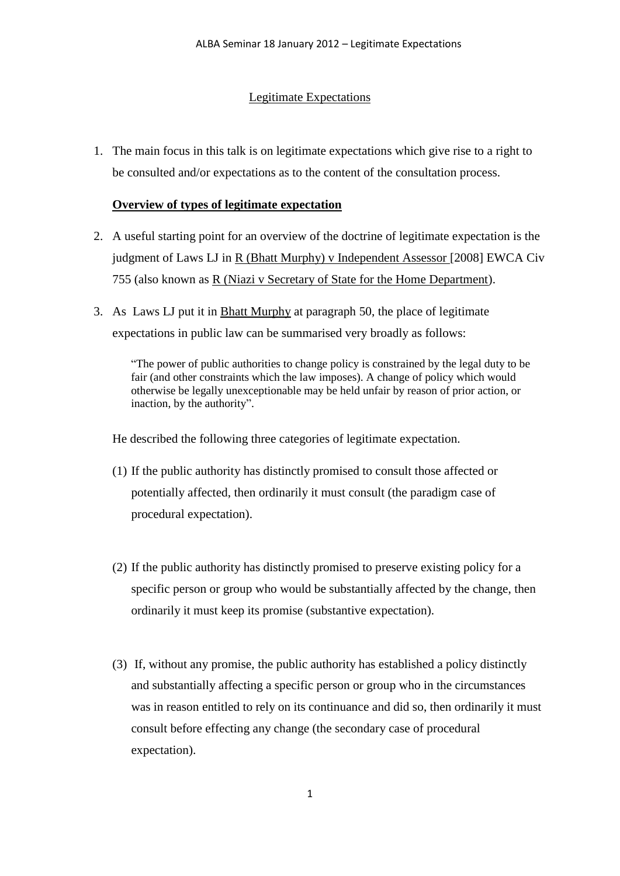# Legitimate Expectations

1. The main focus in this talk is on legitimate expectations which give rise to a right to be consulted and/or expectations as to the content of the consultation process.

## **Overview of types of legitimate expectation**

- 2. A useful starting point for an overview of the doctrine of legitimate expectation is the judgment of Laws LJ in R (Bhatt Murphy) v Independent Assessor [2008] EWCA Civ 755 (also known as R (Niazi v Secretary of State for the Home Department).
- 3. As Laws LJ put it in Bhatt Murphy at paragraph 50, the place of legitimate expectations in public law can be summarised very broadly as follows:

―The power of public authorities to change policy is constrained by the legal duty to be fair (and other constraints which the law imposes). A change of policy which would otherwise be legally unexceptionable may be held unfair by reason of prior action, or inaction, by the authority".

He described the following three categories of legitimate expectation.

- (1) If the public authority has distinctly promised to consult those affected or potentially affected, then ordinarily it must consult (the paradigm case of procedural expectation).
- (2) If the public authority has distinctly promised to preserve existing policy for a specific person or group who would be substantially affected by the change, then ordinarily it must keep its promise (substantive expectation).
- (3) If, without any promise, the public authority has established a policy distinctly and substantially affecting a specific person or group who in the circumstances was in reason entitled to rely on its continuance and did so, then ordinarily it must consult before effecting any change (the secondary case of procedural expectation).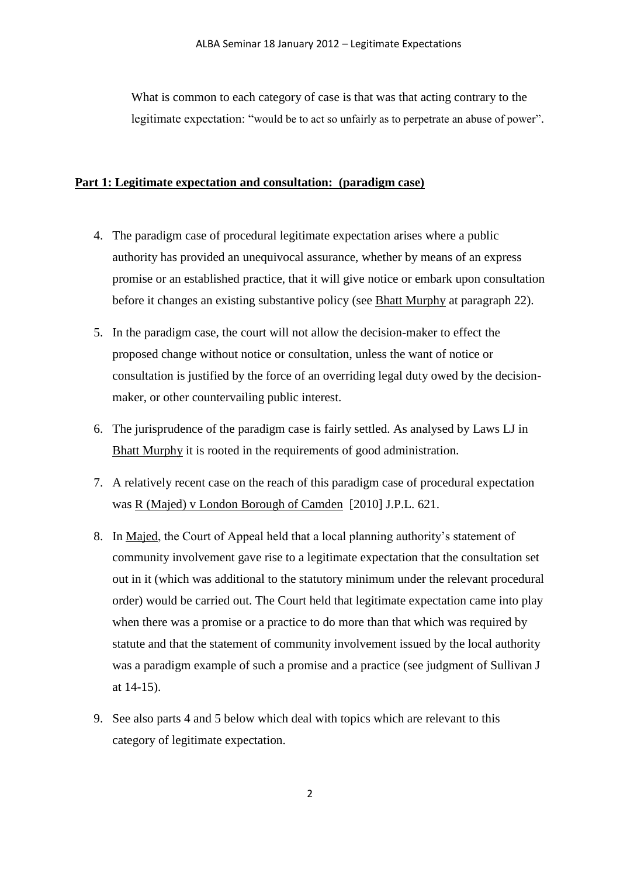What is common to each category of case is that was that acting contrary to the legitimate expectation: "would be to act so unfairly as to perpetrate an abuse of power".

# **Part 1: Legitimate expectation and consultation: (paradigm case)**

- 4. The paradigm case of procedural legitimate expectation arises where a public authority has provided an unequivocal assurance, whether by means of an express promise or an established practice, that it will give notice or embark upon consultation before it changes an existing substantive policy (see Bhatt Murphy at paragraph 22).
- 5. In the paradigm case, the court will not allow the decision-maker to effect the proposed change without notice or consultation, unless the want of notice or consultation is justified by the force of an overriding legal duty owed by the decisionmaker, or other countervailing public interest.
- 6. The jurisprudence of the paradigm case is fairly settled. As analysed by Laws LJ in Bhatt Murphy it is rooted in the requirements of good administration.
- 7. A relatively recent case on the reach of this paradigm case of procedural expectation was R (Majed) v London Borough of Camden [2010] J.P.L. 621.
- 8. In Majed, the Court of Appeal held that a local planning authority's statement of community involvement gave rise to a legitimate expectation that the consultation set out in it (which was additional to the statutory minimum under the relevant procedural order) would be carried out. The Court held that legitimate expectation came into play when there was a promise or a practice to do more than that which was required by statute and that the statement of community involvement issued by the local authority was a paradigm example of such a promise and a practice (see judgment of Sullivan J at 14-15).
- 9. See also parts 4 and 5 below which deal with topics which are relevant to this category of legitimate expectation.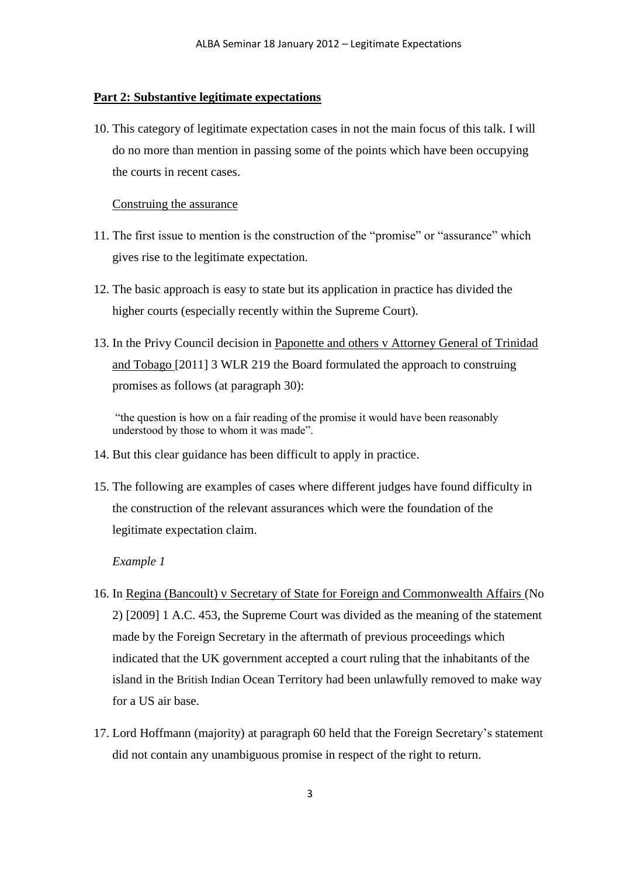### **Part 2: Substantive legitimate expectations**

10. This category of legitimate expectation cases in not the main focus of this talk. I will do no more than mention in passing some of the points which have been occupying the courts in recent cases.

### Construing the assurance

- 11. The first issue to mention is the construction of the "promise" or "assurance" which gives rise to the legitimate expectation.
- 12. The basic approach is easy to state but its application in practice has divided the higher courts (especially recently within the Supreme Court).
- 13. In the Privy Council decision in Paponette and others v Attorney General of Trinidad and Tobago [2011] 3 WLR 219 the Board formulated the approach to construing promises as follows (at paragraph 30):

"the question is how on a fair reading of the promise it would have been reasonably understood by those to whom it was made".

- 14. But this clear guidance has been difficult to apply in practice.
- 15. The following are examples of cases where different judges have found difficulty in the construction of the relevant assurances which were the foundation of the legitimate expectation claim.

#### *Example 1*

- 16. In Regina (Bancoult) v Secretary of State for Foreign and Commonwealth Affairs (No 2) [2009] 1 A.C. 453, the Supreme Court was divided as the meaning of the statement made by the Foreign Secretary in the aftermath of previous proceedings which indicated that the UK government accepted a court ruling that the inhabitants of the island in the British Indian Ocean Territory had been unlawfully removed to make way for a US air base.
- 17. Lord Hoffmann (majority) at paragraph 60 held that the Foreign Secretary's statement did not contain any unambiguous promise in respect of the right to return.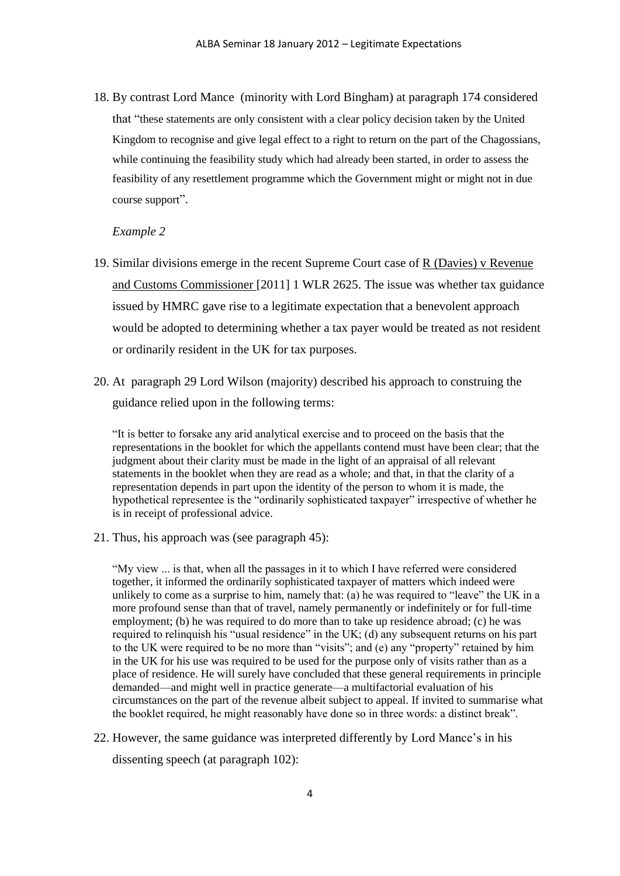18. By contrast Lord Mance (minority with Lord Bingham) at paragraph 174 considered that "these statements are only consistent with a clear policy decision taken by the United Kingdom to recognise and give legal effect to a right to return on the part of the Chagossians, while continuing the feasibility study which had already been started, in order to assess the feasibility of any resettlement programme which the Government might or might not in due course support".

#### *Example 2*

- 19. Similar divisions emerge in the recent Supreme Court case of R (Davies) v Revenue and Customs Commissioner [2011] 1 WLR 2625. The issue was whether tax guidance issued by HMRC gave rise to a legitimate expectation that a benevolent approach would be adopted to determining whether a tax payer would be treated as not resident or ordinarily resident in the UK for tax purposes.
- 20. At paragraph 29 Lord Wilson (majority) described his approach to construing the guidance relied upon in the following terms:

―It is better to forsake any arid analytical exercise and to proceed on the basis that the representations in the booklet for which the appellants contend must have been clear; that the judgment about their clarity must be made in the light of an appraisal of all relevant statements in the booklet when they are read as a whole; and that, in that the clarity of a representation depends in part upon the identity of the person to whom it is made, the hypothetical representee is the "ordinarily sophisticated taxpayer" irrespective of whether he is in receipt of professional advice.

21. Thus, his approach was (see paragraph 45):

―My view ... is that, when all the passages in it to which I have referred were considered together, it informed the ordinarily sophisticated taxpayer of matters which indeed were unlikely to come as a surprise to him, namely that: (a) he was required to "leave" the UK in a more profound sense than that of travel, namely permanently or indefinitely or for full-time employment; (b) he was required to do more than to take up residence abroad; (c) he was required to relinquish his "usual residence" in the UK; (d) any subsequent returns on his part to the UK were required to be no more than "visits"; and (e) any "property" retained by him in the UK for his use was required to be used for the purpose only of visits rather than as a place of residence. He will surely have concluded that these general requirements in principle demanded—and might well in practice generate—a multifactorial evaluation of his circumstances on the part of the revenue albeit subject to appeal. If invited to summarise what the booklet required, he might reasonably have done so in three words: a distinct break".

22. However, the same guidance was interpreted differently by Lord Mance's in his

dissenting speech (at paragraph 102):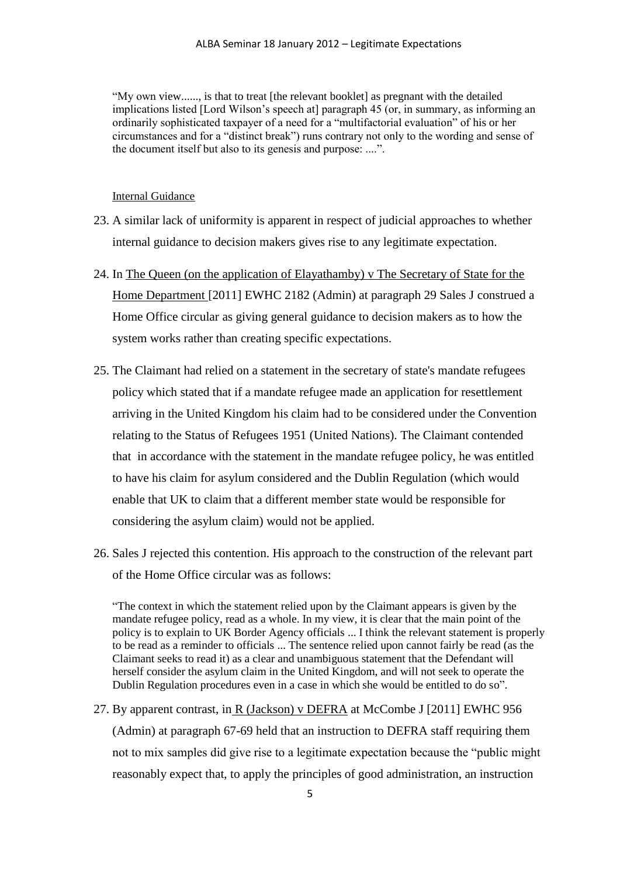―My own view......, is that to treat [the relevant booklet] as pregnant with the detailed implications listed [Lord Wilson's speech at] paragraph  $45$  (or, in summary, as informing an ordinarily sophisticated taxpayer of a need for a "multifactorial evaluation" of his or her circumstances and for a "distinct break") runs contrary not only to the wording and sense of the document itself but also to its genesis and purpose: ....".

#### Internal Guidance

- 23. A similar lack of uniformity is apparent in respect of judicial approaches to whether internal guidance to decision makers gives rise to any legitimate expectation.
- 24. In The Queen (on the application of Elayathamby) v The Secretary of State for the Home Department [2011] EWHC 2182 (Admin) at paragraph 29 Sales J construed a Home Office circular as giving general guidance to decision makers as to how the system works rather than creating specific expectations.
- 25. The Claimant had relied on a statement in the secretary of state's mandate refugees policy which stated that if a mandate refugee made an application for resettlement arriving in the United Kingdom his claim had to be considered under the Convention relating to the Status of Refugees 1951 (United Nations). The Claimant contended that in accordance with the statement in the mandate refugee policy, he was entitled to have his claim for asylum considered and the Dublin Regulation (which would enable that UK to claim that a different member state would be responsible for considering the asylum claim) would not be applied.
- 26. Sales J rejected this contention. His approach to the construction of the relevant part of the Home Office circular was as follows:

―The context in which the statement relied upon by the Claimant appears is given by the mandate refugee policy, read as a whole. In my view, it is clear that the main point of the policy is to explain to UK Border Agency officials ... I think the relevant statement is properly to be read as a reminder to officials ... The sentence relied upon cannot fairly be read (as the Claimant seeks to read it) as a clear and unambiguous statement that the Defendant will herself consider the asylum claim in the United Kingdom, and will not seek to operate the Dublin Regulation procedures even in a case in which she would be entitled to do so".

27. By apparent contrast, in R (Jackson) v DEFRA at McCombe J [2011] EWHC 956 (Admin) at paragraph 67-69 held that an instruction to DEFRA staff requiring them not to mix samples did give rise to a legitimate expectation because the "public might" reasonably expect that, to apply the principles of good administration, an instruction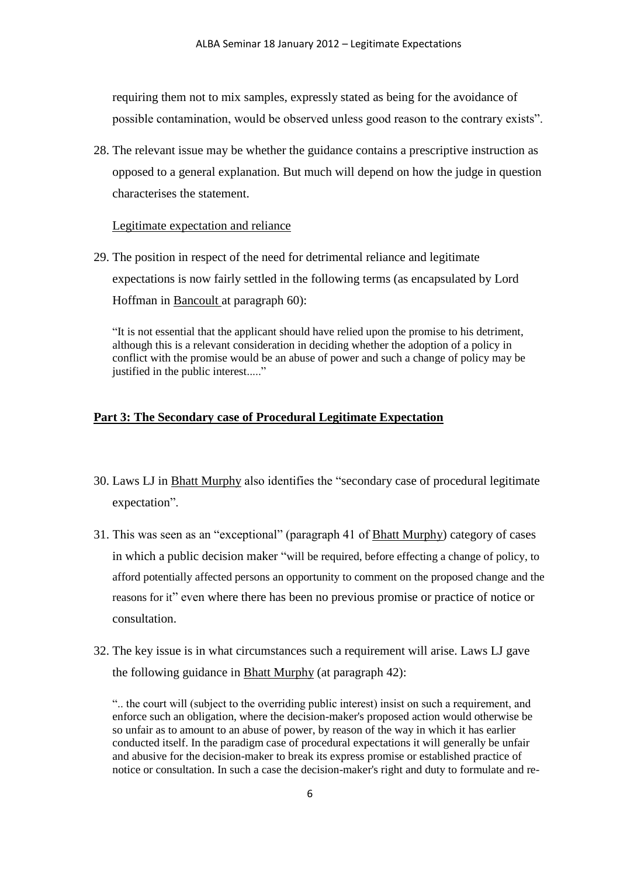requiring them not to mix samples, expressly stated as being for the avoidance of possible contamination, would be observed unless good reason to the contrary exists".

28. The relevant issue may be whether the guidance contains a prescriptive instruction as opposed to a general explanation. But much will depend on how the judge in question characterises the statement.

### Legitimate expectation and reliance

29. The position in respect of the need for detrimental reliance and legitimate expectations is now fairly settled in the following terms (as encapsulated by Lord Hoffman in Bancoult at paragraph 60):

―It is not essential that the applicant should have relied upon the promise to his detriment, although this is a relevant consideration in deciding whether the adoption of a policy in conflict with the promise would be an abuse of power and such a change of policy may be justified in the public interest....."

## **Part 3: The Secondary case of Procedural Legitimate Expectation**

- 30. Laws LJ in Bhatt Murphy also identifies the "secondary case of procedural legitimate expectation".
- 31. This was seen as an "exceptional" (paragraph 41 of Bhatt Murphy) category of cases in which a public decision maker "will be required, before effecting a change of policy, to afford potentially affected persons an opportunity to comment on the proposed change and the reasons for it" even where there has been no previous promise or practice of notice or consultation.
- 32. The key issue is in what circumstances such a requirement will arise. Laws LJ gave the following guidance in Bhatt Murphy (at paragraph 42):

―.. the court will (subject to the overriding public interest) insist on such a requirement, and enforce such an obligation, where the decision-maker's proposed action would otherwise be so unfair as to amount to an abuse of power, by reason of the way in which it has earlier conducted itself. In the paradigm case of procedural expectations it will generally be unfair and abusive for the decision-maker to break its express promise or established practice of notice or consultation. In such a case the decision-maker's right and duty to formulate and re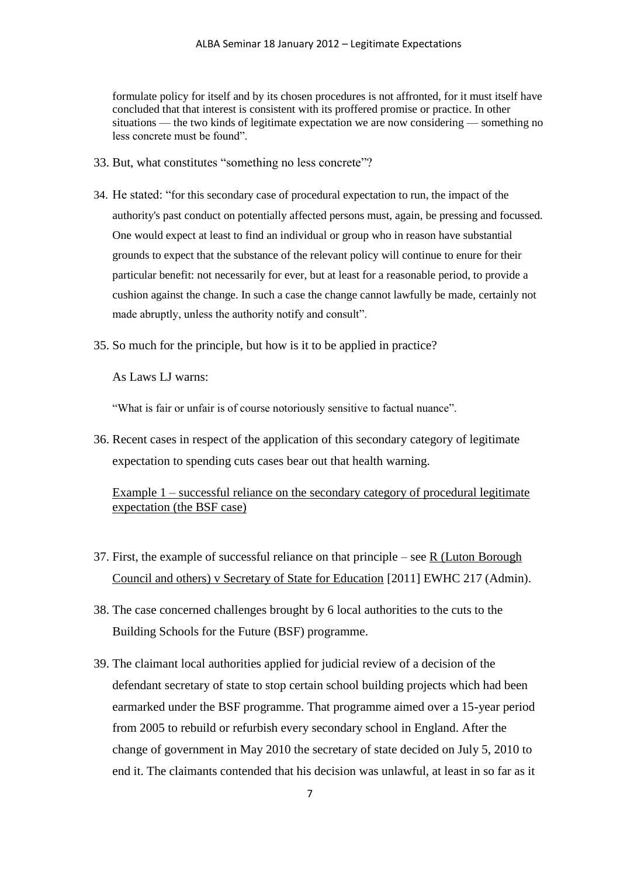formulate policy for itself and by its chosen procedures is not affronted, for it must itself have concluded that that interest is consistent with its proffered promise or practice. In other situations — the two kinds of legitimate expectation we are now considering — something no less concrete must be found".

- 33. But, what constitutes "something no less concrete"?
- 34. He stated: "for this secondary case of procedural expectation to run, the impact of the authority's past conduct on potentially affected persons must, again, be pressing and focussed. One would expect at least to find an individual or group who in reason have substantial grounds to expect that the substance of the relevant policy will continue to enure for their particular benefit: not necessarily for ever, but at least for a reasonable period, to provide a cushion against the change. In such a case the change cannot lawfully be made, certainly not made abruptly, unless the authority notify and consult".
- 35. So much for the principle, but how is it to be applied in practice?

As Laws LJ warns:

―What is fair or unfair is of course notoriously sensitive to factual nuance‖.

36. Recent cases in respect of the application of this secondary category of legitimate expectation to spending cuts cases bear out that health warning.

Example 1 – successful reliance on the secondary category of procedural legitimate expectation (the BSF case)

- 37. First, the example of successful reliance on that principle see R (Luton Borough Council and others) v Secretary of State for Education [2011] EWHC 217 (Admin).
- 38. The case concerned challenges brought by 6 local authorities to the cuts to the Building Schools for the Future (BSF) programme.
- 39. The claimant local authorities applied for judicial review of a decision of the defendant secretary of state to stop certain school building projects which had been earmarked under the BSF programme. That programme aimed over a 15-year period from 2005 to rebuild or refurbish every secondary school in England. After the change of government in May 2010 the secretary of state decided on July 5, 2010 to end it. The claimants contended that his decision was unlawful, at least in so far as it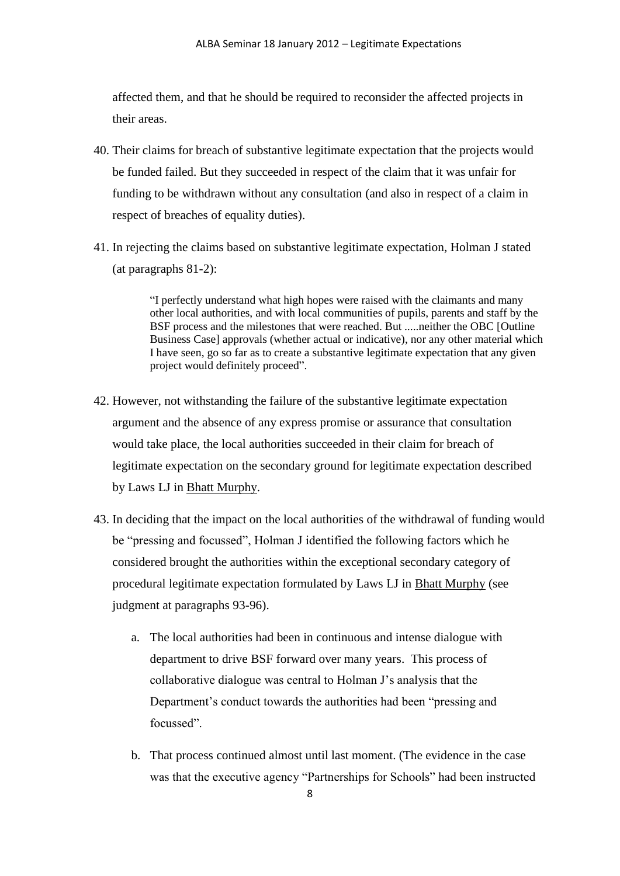affected them, and that he should be required to reconsider the affected projects in their areas.

- 40. Their claims for breach of substantive legitimate expectation that the projects would be funded failed. But they succeeded in respect of the claim that it was unfair for funding to be withdrawn without any consultation (and also in respect of a claim in respect of breaches of equality duties).
- 41. In rejecting the claims based on substantive legitimate expectation, Holman J stated (at paragraphs 81-2):

―I perfectly understand what high hopes were raised with the claimants and many other local authorities, and with local communities of pupils, parents and staff by the BSF process and the milestones that were reached. But .....neither the OBC [Outline Business Case] approvals (whether actual or indicative), nor any other material which I have seen, go so far as to create a substantive legitimate expectation that any given project would definitely proceed".

- 42. However, not withstanding the failure of the substantive legitimate expectation argument and the absence of any express promise or assurance that consultation would take place, the local authorities succeeded in their claim for breach of legitimate expectation on the secondary ground for legitimate expectation described by Laws LJ in Bhatt Murphy.
- 43. In deciding that the impact on the local authorities of the withdrawal of funding would be "pressing and focussed", Holman J identified the following factors which he considered brought the authorities within the exceptional secondary category of procedural legitimate expectation formulated by Laws LJ in Bhatt Murphy (see judgment at paragraphs 93-96).
	- a. The local authorities had been in continuous and intense dialogue with department to drive BSF forward over many years. This process of collaborative dialogue was central to Holman J's analysis that the Department's conduct towards the authorities had been "pressing and focussed".
	- b. That process continued almost until last moment. (The evidence in the case was that the executive agency "Partnerships for Schools" had been instructed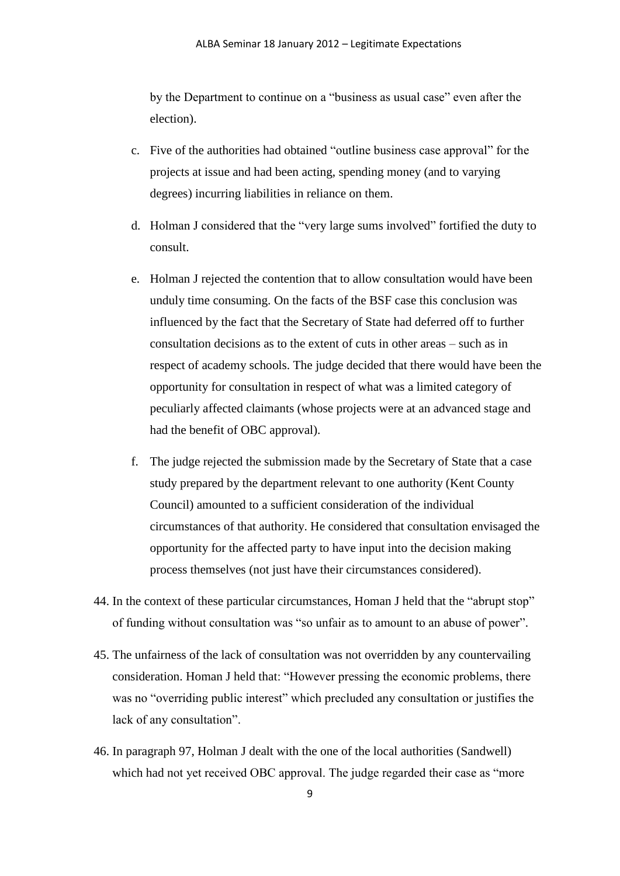by the Department to continue on a "business as usual case" even after the election).

- c. Five of the authorities had obtained "outline business case approval" for the projects at issue and had been acting, spending money (and to varying degrees) incurring liabilities in reliance on them.
- d. Holman J considered that the "very large sums involved" fortified the duty to consult.
- e. Holman J rejected the contention that to allow consultation would have been unduly time consuming. On the facts of the BSF case this conclusion was influenced by the fact that the Secretary of State had deferred off to further consultation decisions as to the extent of cuts in other areas – such as in respect of academy schools. The judge decided that there would have been the opportunity for consultation in respect of what was a limited category of peculiarly affected claimants (whose projects were at an advanced stage and had the benefit of OBC approval).
- f. The judge rejected the submission made by the Secretary of State that a case study prepared by the department relevant to one authority (Kent County Council) amounted to a sufficient consideration of the individual circumstances of that authority. He considered that consultation envisaged the opportunity for the affected party to have input into the decision making process themselves (not just have their circumstances considered).
- 44. In the context of these particular circumstances, Homan J held that the "abrupt stop" of funding without consultation was "so unfair as to amount to an abuse of power".
- 45. The unfairness of the lack of consultation was not overridden by any countervailing consideration. Homan J held that: "However pressing the economic problems, there was no "overriding public interest" which precluded any consultation or justifies the lack of any consultation".
- 46. In paragraph 97, Holman J dealt with the one of the local authorities (Sandwell) which had not yet received OBC approval. The judge regarded their case as "more"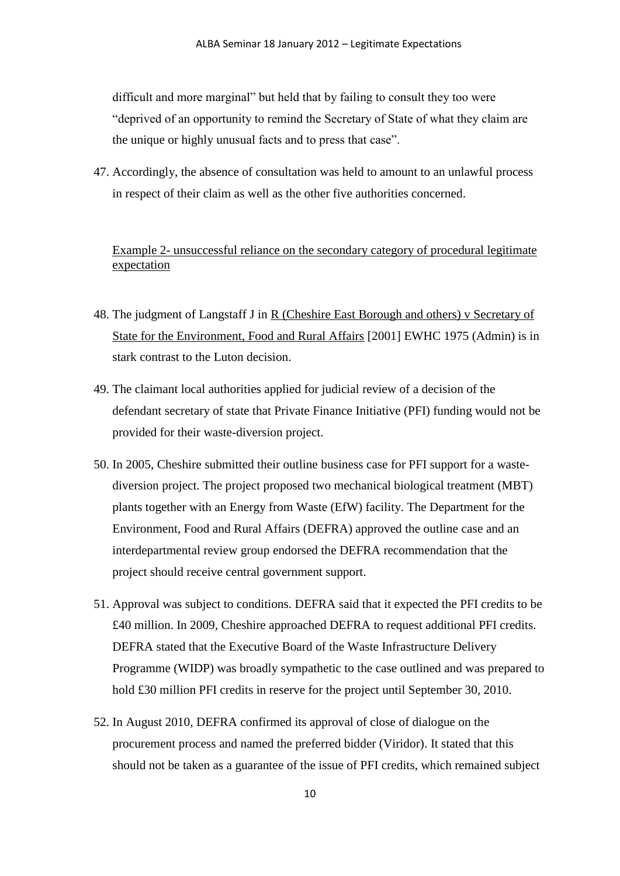difficult and more marginal" but held that by failing to consult they too were "deprived of an opportunity to remind the Secretary of State of what they claim are the unique or highly unusual facts and to press that case".

47. Accordingly, the absence of consultation was held to amount to an unlawful process in respect of their claim as well as the other five authorities concerned.

Example 2- unsuccessful reliance on the secondary category of procedural legitimate expectation

- 48. The judgment of Langstaff J in R (Cheshire East Borough and others) v Secretary of State for the Environment, Food and Rural Affairs [2001] EWHC 1975 (Admin) is in stark contrast to the Luton decision.
- 49. The claimant local authorities applied for judicial review of a decision of the defendant secretary of state that Private Finance Initiative (PFI) funding would not be provided for their waste-diversion project.
- 50. In 2005, Cheshire submitted their outline business case for PFI support for a wastediversion project. The project proposed two mechanical biological treatment (MBT) plants together with an Energy from Waste (EfW) facility. The Department for the Environment, Food and Rural Affairs (DEFRA) approved the outline case and an interdepartmental review group endorsed the DEFRA recommendation that the project should receive central government support.
- 51. Approval was subject to conditions. DEFRA said that it expected the PFI credits to be £40 million. In 2009, Cheshire approached DEFRA to request additional PFI credits. DEFRA stated that the Executive Board of the Waste Infrastructure Delivery Programme (WIDP) was broadly sympathetic to the case outlined and was prepared to hold £30 million PFI credits in reserve for the project until September 30, 2010.
- 52. In August 2010, DEFRA confirmed its approval of close of dialogue on the procurement process and named the preferred bidder (Viridor). It stated that this should not be taken as a guarantee of the issue of PFI credits, which remained subject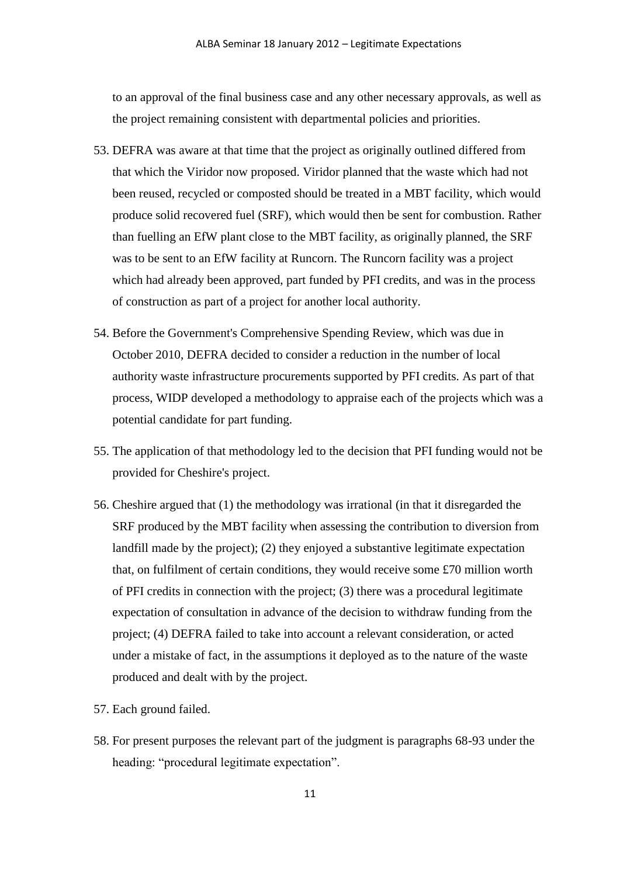to an approval of the final business case and any other necessary approvals, as well as the project remaining consistent with departmental policies and priorities.

- 53. DEFRA was aware at that time that the project as originally outlined differed from that which the Viridor now proposed. Viridor planned that the waste which had not been reused, recycled or composted should be treated in a MBT facility, which would produce solid recovered fuel (SRF), which would then be sent for combustion. Rather than fuelling an EfW plant close to the MBT facility, as originally planned, the SRF was to be sent to an EfW facility at Runcorn. The Runcorn facility was a project which had already been approved, part funded by PFI credits, and was in the process of construction as part of a project for another local authority.
- 54. Before the Government's Comprehensive Spending Review, which was due in October 2010, DEFRA decided to consider a reduction in the number of local authority waste infrastructure procurements supported by PFI credits. As part of that process, WIDP developed a methodology to appraise each of the projects which was a potential candidate for part funding.
- 55. The application of that methodology led to the decision that PFI funding would not be provided for Cheshire's project.
- 56. Cheshire argued that (1) the methodology was irrational (in that it disregarded the SRF produced by the MBT facility when assessing the contribution to diversion from landfill made by the project); (2) they enjoyed a substantive legitimate expectation that, on fulfilment of certain conditions, they would receive some £70 million worth of PFI credits in connection with the project; (3) there was a procedural legitimate expectation of consultation in advance of the decision to withdraw funding from the project; (4) DEFRA failed to take into account a relevant consideration, or acted under a mistake of fact, in the assumptions it deployed as to the nature of the waste produced and dealt with by the project.
- 57. Each ground failed.
- 58. For present purposes the relevant part of the judgment is paragraphs 68-93 under the heading: "procedural legitimate expectation".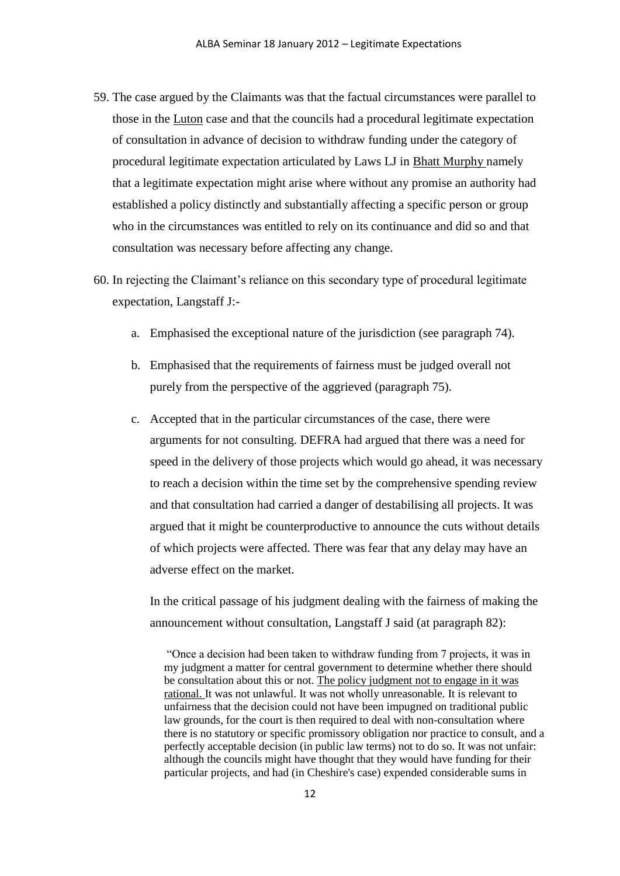- 59. The case argued by the Claimants was that the factual circumstances were parallel to those in the Luton case and that the councils had a procedural legitimate expectation of consultation in advance of decision to withdraw funding under the category of procedural legitimate expectation articulated by Laws LJ in Bhatt Murphy namely that a legitimate expectation might arise where without any promise an authority had established a policy distinctly and substantially affecting a specific person or group who in the circumstances was entitled to rely on its continuance and did so and that consultation was necessary before affecting any change.
- 60. In rejecting the Claimant's reliance on this secondary type of procedural legitimate expectation, Langstaff J:
	- a. Emphasised the exceptional nature of the jurisdiction (see paragraph 74).
	- b. Emphasised that the requirements of fairness must be judged overall not purely from the perspective of the aggrieved (paragraph 75).
	- c. Accepted that in the particular circumstances of the case, there were arguments for not consulting. DEFRA had argued that there was a need for speed in the delivery of those projects which would go ahead, it was necessary to reach a decision within the time set by the comprehensive spending review and that consultation had carried a danger of destabilising all projects. It was argued that it might be counterproductive to announce the cuts without details of which projects were affected. There was fear that any delay may have an adverse effect on the market.

In the critical passage of his judgment dealing with the fairness of making the announcement without consultation, Langstaff J said (at paragraph 82):

―Once a decision had been taken to withdraw funding from 7 projects, it was in my judgment a matter for central government to determine whether there should be consultation about this or not. The policy judgment not to engage in it was rational. It was not unlawful. It was not wholly unreasonable. It is relevant to unfairness that the decision could not have been impugned on traditional public law grounds, for the court is then required to deal with non-consultation where there is no statutory or specific promissory obligation nor practice to consult, and a perfectly acceptable decision (in public law terms) not to do so. It was not unfair: although the councils might have thought that they would have funding for their particular projects, and had (in Cheshire's case) expended considerable sums in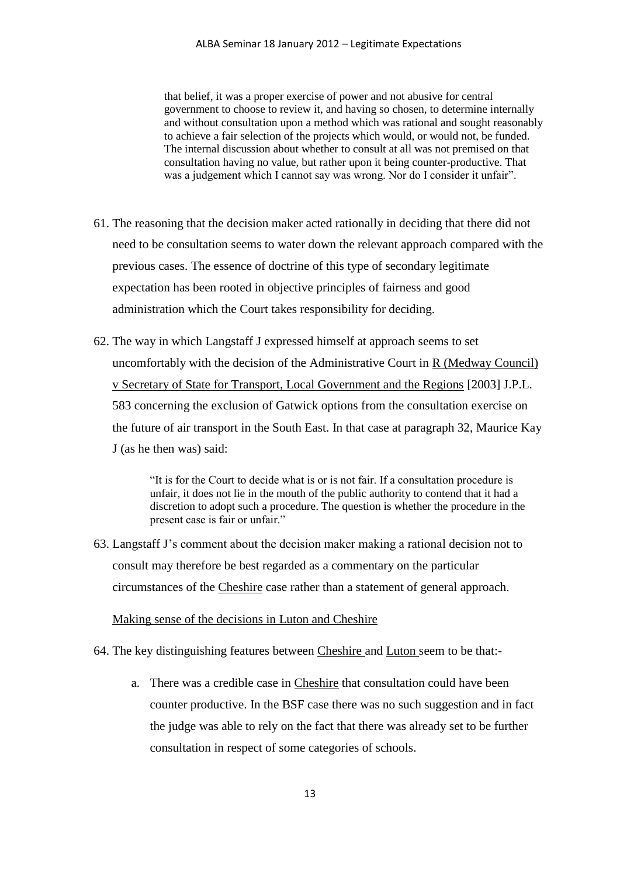that belief, it was a proper exercise of power and not abusive for central government to choose to review it, and having so chosen, to determine internally and without consultation upon a method which was rational and sought reasonably to achieve a fair selection of the projects which would, or would not, be funded. The internal discussion about whether to consult at all was not premised on that consultation having no value, but rather upon it being counter-productive. That was a judgement which I cannot say was wrong. Nor do I consider it unfair".

- 61. The reasoning that the decision maker acted rationally in deciding that there did not need to be consultation seems to water down the relevant approach compared with the previous cases. The essence of doctrine of this type of secondary legitimate expectation has been rooted in objective principles of fairness and good administration which the Court takes responsibility for deciding.
- 62. The way in which Langstaff J expressed himself at approach seems to set uncomfortably with the decision of the Administrative Court in R (Medway Council) v Secretary of State for Transport, Local Government and the Regions [2003] J.P.L. 583 concerning the exclusion of Gatwick options from the consultation exercise on the future of air transport in the South East. In that case at paragraph 32, Maurice Kay J (as he then was) said:

―It is for the Court to decide what is or is not fair. If a consultation procedure is unfair, it does not lie in the mouth of the public authority to contend that it had a discretion to adopt such a procedure. The question is whether the procedure in the present case is fair or unfair."

63. Langstaff J's comment about the decision maker making a rational decision not to consult may therefore be best regarded as a commentary on the particular circumstances of the Cheshire case rather than a statement of general approach.

Making sense of the decisions in Luton and Cheshire

- 64. The key distinguishing features between Cheshire and Luton seem to be that:
	- a. There was a credible case in Cheshire that consultation could have been counter productive. In the BSF case there was no such suggestion and in fact the judge was able to rely on the fact that there was already set to be further consultation in respect of some categories of schools.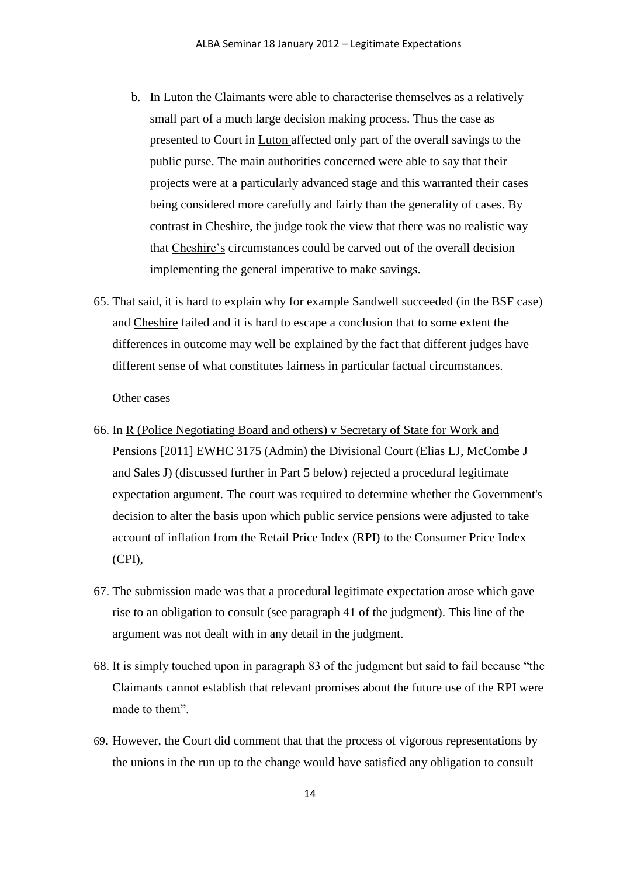- b. In Luton the Claimants were able to characterise themselves as a relatively small part of a much large decision making process. Thus the case as presented to Court in Luton affected only part of the overall savings to the public purse. The main authorities concerned were able to say that their projects were at a particularly advanced stage and this warranted their cases being considered more carefully and fairly than the generality of cases. By contrast in Cheshire, the judge took the view that there was no realistic way that Cheshire's circumstances could be carved out of the overall decision implementing the general imperative to make savings.
- 65. That said, it is hard to explain why for example Sandwell succeeded (in the BSF case) and Cheshire failed and it is hard to escape a conclusion that to some extent the differences in outcome may well be explained by the fact that different judges have different sense of what constitutes fairness in particular factual circumstances.

#### Other cases

- 66. In R (Police Negotiating Board and others) v Secretary of State for Work and Pensions [2011] EWHC 3175 (Admin) the Divisional Court (Elias LJ, McCombe J and Sales J) (discussed further in Part 5 below) rejected a procedural legitimate expectation argument. The court was required to determine whether the Government's decision to alter the basis upon which public service pensions were adjusted to take account of inflation from the Retail Price Index (RPI) to the Consumer Price Index (CPI),
- 67. The submission made was that a procedural legitimate expectation arose which gave rise to an obligation to consult (see paragraph 41 of the judgment). This line of the argument was not dealt with in any detail in the judgment.
- 68. It is simply touched upon in paragraph 83 of the judgment but said to fail because "the Claimants cannot establish that relevant promises about the future use of the RPI were made to them"
- 69. However, the Court did comment that that the process of vigorous representations by the unions in the run up to the change would have satisfied any obligation to consult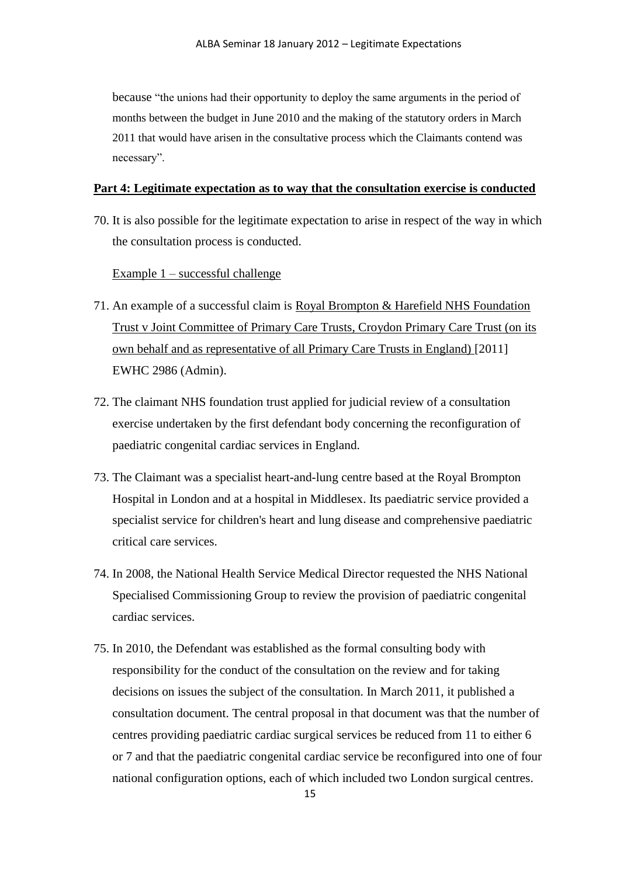because "the unions had their opportunity to deploy the same arguments in the period of months between the budget in June 2010 and the making of the statutory orders in March 2011 that would have arisen in the consultative process which the Claimants contend was necessary".

## **Part 4: Legitimate expectation as to way that the consultation exercise is conducted**

70. It is also possible for the legitimate expectation to arise in respect of the way in which the consultation process is conducted.

Example 1 – successful challenge

- 71. An example of a successful claim is Royal Brompton & Harefield NHS Foundation Trust v Joint Committee of Primary Care Trusts, Croydon Primary Care Trust (on its own behalf and as representative of all Primary Care Trusts in England) [2011] EWHC 2986 (Admin).
- 72. The claimant NHS foundation trust applied for judicial review of a consultation exercise undertaken by the first defendant body concerning the reconfiguration of paediatric congenital cardiac services in England.
- 73. The Claimant was a specialist heart-and-lung centre based at the Royal Brompton Hospital in London and at a hospital in Middlesex. Its paediatric service provided a specialist service for children's heart and lung disease and comprehensive paediatric critical care services.
- 74. In 2008, the National Health Service Medical Director requested the NHS National Specialised Commissioning Group to review the provision of paediatric congenital cardiac services.
- 75. In 2010, the Defendant was established as the formal consulting body with responsibility for the conduct of the consultation on the review and for taking decisions on issues the subject of the consultation. In March 2011, it published a consultation document. The central proposal in that document was that the number of centres providing paediatric cardiac surgical services be reduced from 11 to either 6 or 7 and that the paediatric congenital cardiac service be reconfigured into one of four national configuration options, each of which included two London surgical centres.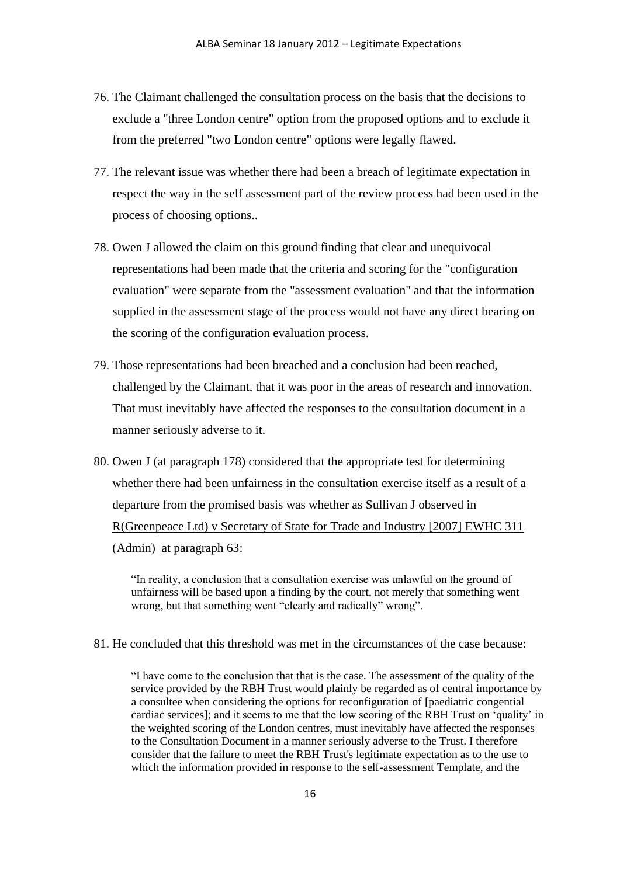- 76. The Claimant challenged the consultation process on the basis that the decisions to exclude a "three London centre" option from the proposed options and to exclude it from the preferred "two London centre" options were legally flawed.
- 77. The relevant issue was whether there had been a breach of legitimate expectation in respect the way in the self assessment part of the review process had been used in the process of choosing options..
- 78. Owen J allowed the claim on this ground finding that clear and unequivocal representations had been made that the criteria and scoring for the "configuration evaluation" were separate from the "assessment evaluation" and that the information supplied in the assessment stage of the process would not have any direct bearing on the scoring of the configuration evaluation process.
- 79. Those representations had been breached and a conclusion had been reached, challenged by the Claimant, that it was poor in the areas of research and innovation. That must inevitably have affected the responses to the consultation document in a manner seriously adverse to it.
- 80. Owen J (at paragraph 178) considered that the appropriate test for determining whether there had been unfairness in the consultation exercise itself as a result of a departure from the promised basis was whether as Sullivan J observed in [R\(Greenpeace Ltd\) v Secretary of State for Trade and Industry \[2007\] EWHC 311](http://login.westlaw.co.uk/maf/wluk/app/document?src=doc&linktype=ref&&context=39&crumb-action=replace&docguid=I0933D781BD9911DB90319F8C44400909)  [\(Admin\)](http://login.westlaw.co.uk/maf/wluk/app/document?src=doc&linktype=ref&&context=39&crumb-action=replace&docguid=I0933D781BD9911DB90319F8C44400909) at paragraph 63:

―In reality, a conclusion that a consultation exercise was unlawful on the ground of unfairness will be based upon a finding by the court, not merely that something went wrong, but that something went "clearly and radically" wrong".

81. He concluded that this threshold was met in the circumstances of the case because:

―I have come to the conclusion that that is the case. The assessment of the quality of the service provided by the RBH Trust would plainly be regarded as of central importance by a consultee when considering the options for reconfiguration of [paediatric congential cardiac services]; and it seems to me that the low scoring of the RBH Trust on 'quality' in the weighted scoring of the London centres, must inevitably have affected the responses to the Consultation Document in a manner seriously adverse to the Trust. I therefore consider that the failure to meet the RBH Trust's legitimate expectation as to the use to which the information provided in response to the self-assessment Template, and the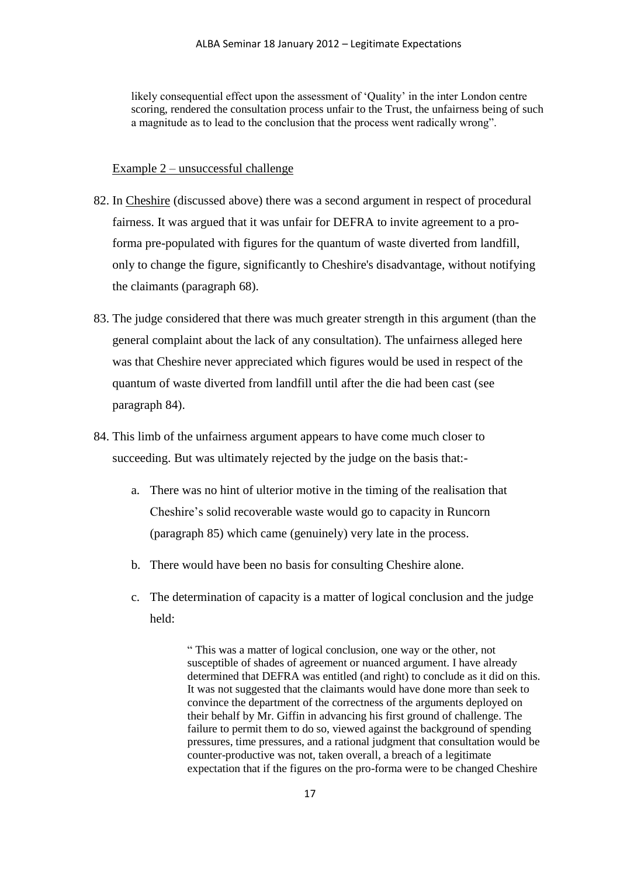likely consequential effect upon the assessment of 'Ouality' in the inter London centre scoring, rendered the consultation process unfair to the Trust, the unfairness being of such a magnitude as to lead to the conclusion that the process went radically wrong".

#### Example 2 – unsuccessful challenge

- 82. In Cheshire (discussed above) there was a second argument in respect of procedural fairness. It was argued that it was unfair for DEFRA to invite agreement to a proforma pre-populated with figures for the quantum of waste diverted from landfill, only to change the figure, significantly to Cheshire's disadvantage, without notifying the claimants (paragraph 68).
- 83. The judge considered that there was much greater strength in this argument (than the general complaint about the lack of any consultation). The unfairness alleged here was that Cheshire never appreciated which figures would be used in respect of the quantum of waste diverted from landfill until after the die had been cast (see paragraph 84).
- 84. This limb of the unfairness argument appears to have come much closer to succeeding. But was ultimately rejected by the judge on the basis that:
	- a. There was no hint of ulterior motive in the timing of the realisation that Cheshire's solid recoverable waste would go to capacity in Runcorn (paragraph 85) which came (genuinely) very late in the process.
	- b. There would have been no basis for consulting Cheshire alone.
	- c. The determination of capacity is a matter of logical conclusion and the judge held:

― This was a matter of logical conclusion, one way or the other, not susceptible of shades of agreement or nuanced argument. I have already determined that DEFRA was entitled (and right) to conclude as it did on this. It was not suggested that the claimants would have done more than seek to convince the department of the correctness of the arguments deployed on their behalf by Mr. Giffin in advancing his first ground of challenge. The failure to permit them to do so, viewed against the background of spending pressures, time pressures, and a rational judgment that consultation would be counter-productive was not, taken overall, a breach of a legitimate expectation that if the figures on the pro-forma were to be changed Cheshire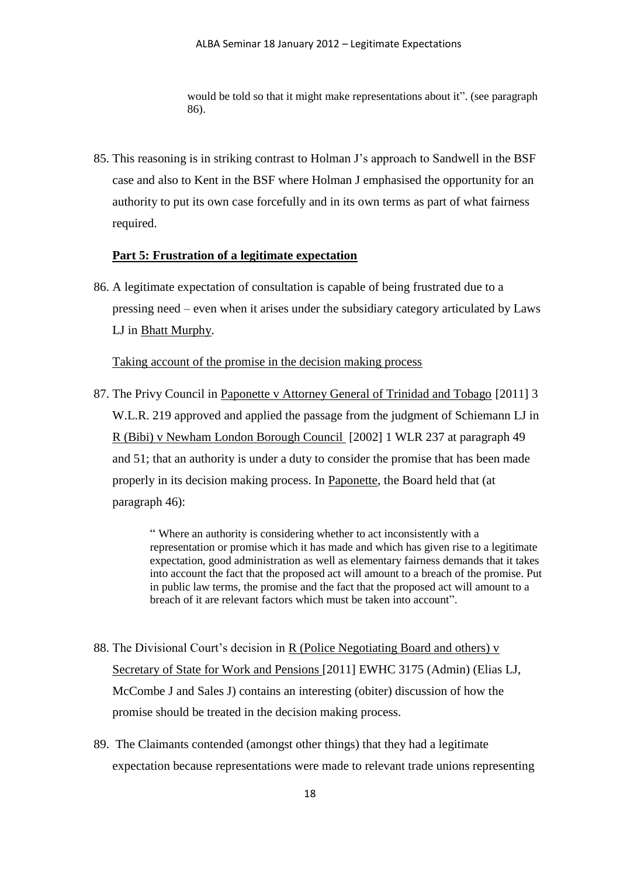would be told so that it might make representations about it". (see paragraph 86).

85. This reasoning is in striking contrast to Holman J's approach to Sandwell in the BSF case and also to Kent in the BSF where Holman J emphasised the opportunity for an authority to put its own case forcefully and in its own terms as part of what fairness required.

## **Part 5: Frustration of a legitimate expectation**

86. A legitimate expectation of consultation is capable of being frustrated due to a pressing need – even when it arises under the subsidiary category articulated by Laws LJ in Bhatt Murphy.

Taking account of the promise in the decision making process

87. The Privy Council in Paponette v Attorney General of Trinidad and Tobago [2011] 3 W.L.R. 219 approved and applied the passage from the judgment of Schiemann LJ in R (Bibi) v Newham London Borough Council [2002] 1 WLR 237 at paragraph 49 and 51; that an authority is under a duty to consider the promise that has been made properly in its decision making process. In Paponette, the Board held that (at paragraph 46):

> ― Where an authority is considering whether to act inconsistently with a representation or promise which it has made and which has given rise to a legitimate expectation, good administration as well as elementary fairness demands that it takes into account the fact that the proposed act will amount to a breach of the promise. Put in public law terms, the promise and the fact that the proposed act will amount to a breach of it are relevant factors which must be taken into account".

- 88. The Divisional Court's decision in R (Police Negotiating Board and others) v Secretary of State for Work and Pensions [2011] EWHC 3175 (Admin) (Elias LJ, McCombe J and Sales J) contains an interesting (obiter) discussion of how the promise should be treated in the decision making process.
- 89. The Claimants contended (amongst other things) that they had a legitimate expectation because representations were made to relevant trade unions representing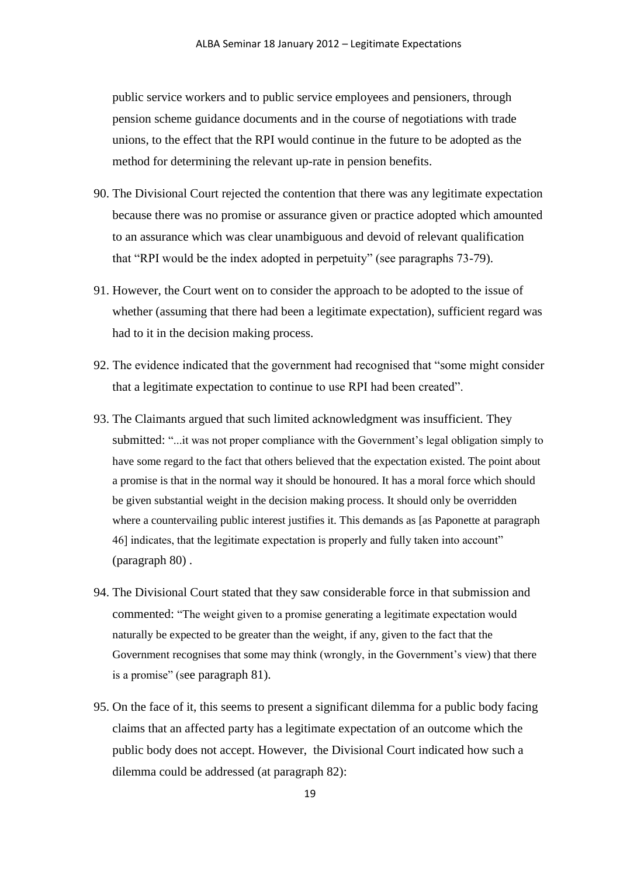public service workers and to public service employees and pensioners, through pension scheme guidance documents and in the course of negotiations with trade unions, to the effect that the RPI would continue in the future to be adopted as the method for determining the relevant up-rate in pension benefits.

- 90. The Divisional Court rejected the contention that there was any legitimate expectation because there was no promise or assurance given or practice adopted which amounted to an assurance which was clear unambiguous and devoid of relevant qualification that "RPI would be the index adopted in perpetuity" (see paragraphs 73-79).
- 91. However, the Court went on to consider the approach to be adopted to the issue of whether (assuming that there had been a legitimate expectation), sufficient regard was had to it in the decision making process.
- 92. The evidence indicated that the government had recognised that "some might consider that a legitimate expectation to continue to use RPI had been created".
- 93. The Claimants argued that such limited acknowledgment was insufficient. They submitted: "...it was not proper compliance with the Government's legal obligation simply to have some regard to the fact that others believed that the expectation existed. The point about a promise is that in the normal way it should be honoured. It has a moral force which should be given substantial weight in the decision making process. It should only be overridden where a countervailing public interest justifies it. This demands as [as Paponette at paragraph 46] indicates, that the legitimate expectation is properly and fully taken into account" (paragraph 80) .
- 94. The Divisional Court stated that they saw considerable force in that submission and commented: "The weight given to a promise generating a legitimate expectation would naturally be expected to be greater than the weight, if any, given to the fact that the Government recognises that some may think (wrongly, in the Government's view) that there is a promise" (see paragraph 81).
- 95. On the face of it, this seems to present a significant dilemma for a public body facing claims that an affected party has a legitimate expectation of an outcome which the public body does not accept. However, the Divisional Court indicated how such a dilemma could be addressed (at paragraph 82):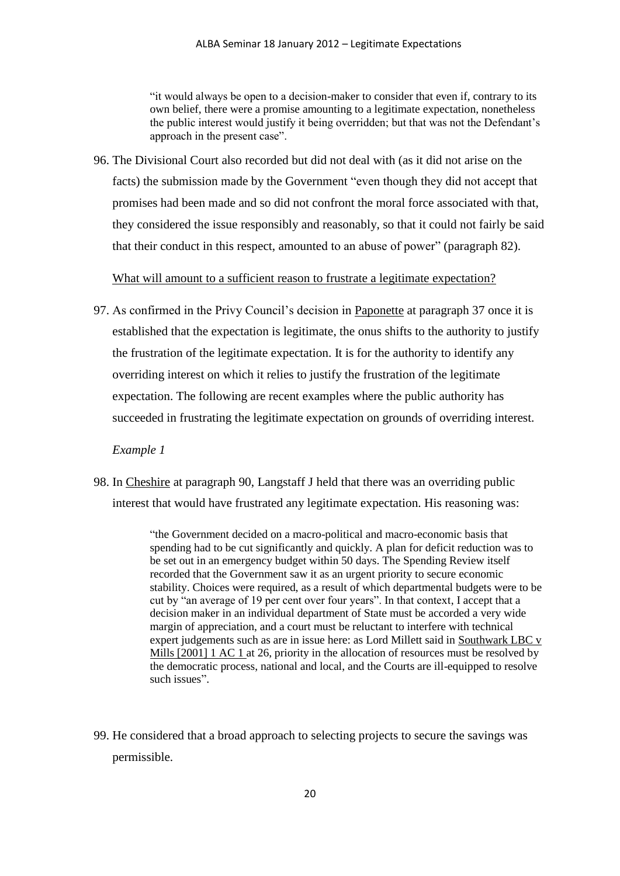―it would always be open to a decision-maker to consider that even if, contrary to its own belief, there were a promise amounting to a legitimate expectation, nonetheless the public interest would justify it being overridden; but that was not the Defendant's approach in the present case".

96. The Divisional Court also recorded but did not deal with (as it did not arise on the facts) the submission made by the Government "even though they did not accept that promises had been made and so did not confront the moral force associated with that, they considered the issue responsibly and reasonably, so that it could not fairly be said that their conduct in this respect, amounted to an abuse of power" (paragraph 82).

### What will amount to a sufficient reason to frustrate a legitimate expectation?

97. As confirmed in the Privy Council's decision in Paponette at paragraph 37 once it is established that the expectation is legitimate, the onus shifts to the authority to justify the frustration of the legitimate expectation. It is for the authority to identify any overriding interest on which it relies to justify the frustration of the legitimate expectation. The following are recent examples where the public authority has succeeded in frustrating the legitimate expectation on grounds of overriding interest.

### *Example 1*

98. In Cheshire at paragraph 90, Langstaff J held that there was an overriding public interest that would have frustrated any legitimate expectation. His reasoning was:

> "the Government decided on a macro-political and macro-economic basis that spending had to be cut significantly and quickly. A plan for deficit reduction was to be set out in an emergency budget within 50 days. The Spending Review itself recorded that the Government saw it as an urgent priority to secure economic stability. Choices were required, as a result of which departmental budgets were to be cut by "an average of 19 per cent over four years". In that context, I accept that a decision maker in an individual department of State must be accorded a very wide margin of appreciation, and a court must be reluctant to interfere with technical expert judgements such as are in issue here: as Lord Millett said in [Southwark LBC v](http://login.westlaw.co.uk/maf/wluk/app/document?src=doc&linktype=ref&&context=36&crumb-action=replace&docguid=IB7410F50E42811DA8FC2A0F0355337E9)  [Mills \[2001\] 1 AC 1](http://login.westlaw.co.uk/maf/wluk/app/document?src=doc&linktype=ref&&context=36&crumb-action=replace&docguid=IB7410F50E42811DA8FC2A0F0355337E9) at 26, priority in the allocation of resources must be resolved by the democratic process, national and local, and the Courts are ill-equipped to resolve such issues".

99. He considered that a broad approach to selecting projects to secure the savings was permissible.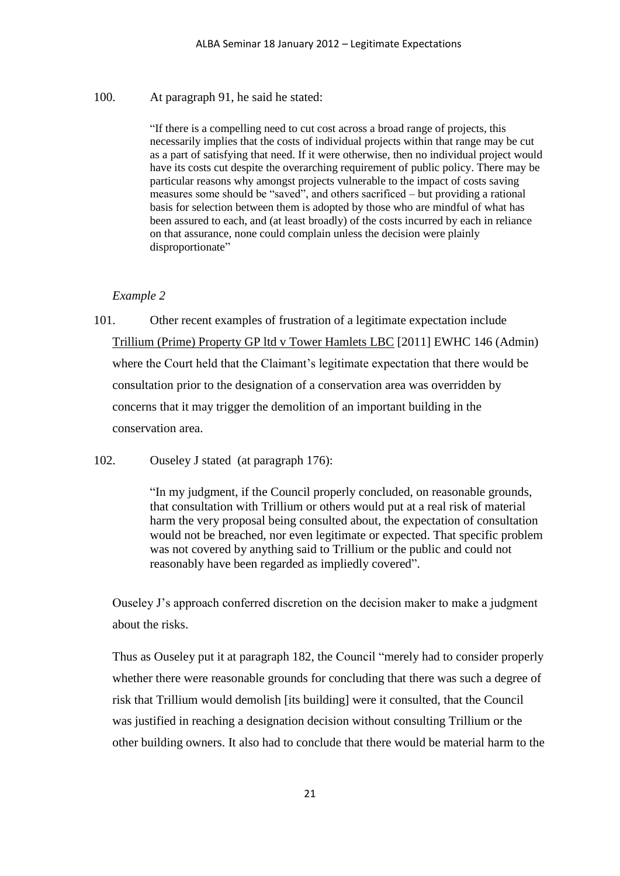## 100. At paragraph 91, he said he stated:

―If there is a compelling need to cut cost across a broad range of projects, this necessarily implies that the costs of individual projects within that range may be cut as a part of satisfying that need. If it were otherwise, then no individual project would have its costs cut despite the overarching requirement of public policy. There may be particular reasons why amongst projects vulnerable to the impact of costs saving measures some should be "saved", and others sacrificed – but providing a rational basis for selection between them is adopted by those who are mindful of what has been assured to each, and (at least broadly) of the costs incurred by each in reliance on that assurance, none could complain unless the decision were plainly disproportionate"

### *Example 2*

- 101. Other recent examples of frustration of a legitimate expectation include Trillium (Prime) Property GP ltd v Tower Hamlets LBC [2011] EWHC 146 (Admin) where the Court held that the Claimant's legitimate expectation that there would be consultation prior to the designation of a conservation area was overridden by concerns that it may trigger the demolition of an important building in the conservation area.
- 102. Ouseley J stated (at paragraph 176):

"In my judgment, if the Council properly concluded, on reasonable grounds, that consultation with Trillium or others would put at a real risk of material harm the very proposal being consulted about, the expectation of consultation would not be breached, nor even legitimate or expected. That specific problem was not covered by anything said to Trillium or the public and could not reasonably have been regarded as impliedly covered".

Ouseley J's approach conferred discretion on the decision maker to make a judgment about the risks.

Thus as Ouseley put it at paragraph 182, the Council "merely had to consider properly whether there were reasonable grounds for concluding that there was such a degree of risk that Trillium would demolish [its building] were it consulted, that the Council was justified in reaching a designation decision without consulting Trillium or the other building owners. It also had to conclude that there would be material harm to the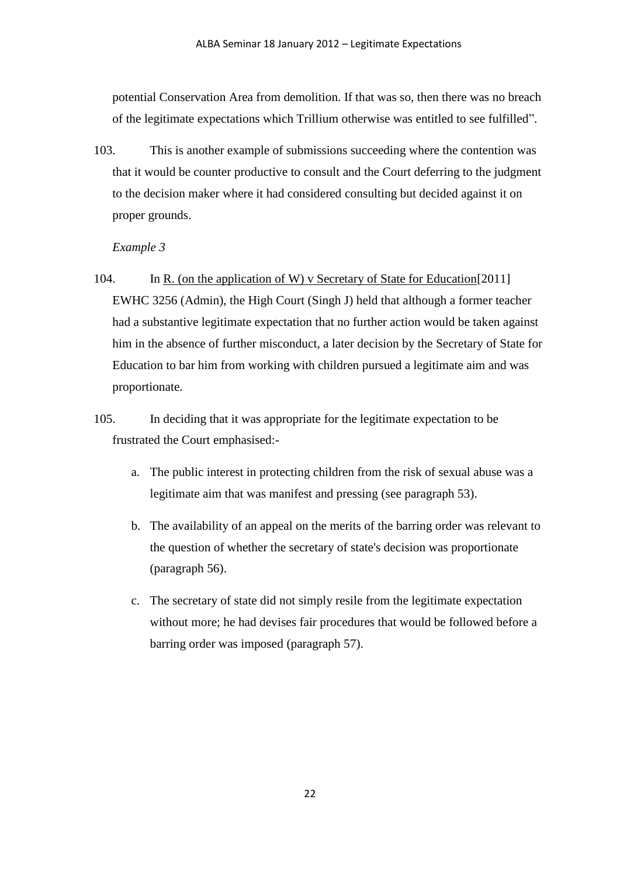potential Conservation Area from demolition. If that was so, then there was no breach of the legitimate expectations which Trillium otherwise was entitled to see fulfilled".

103. This is another example of submissions succeeding where the contention was that it would be counter productive to consult and the Court deferring to the judgment to the decision maker where it had considered consulting but decided against it on proper grounds.

#### *Example 3*

- 104. In R. (on the application of W) v Secretary of State for Education[2011] EWHC 3256 (Admin), the High Court (Singh J) held that although a former teacher had a substantive legitimate expectation that no further action would be taken against him in the absence of further misconduct, a later decision by the Secretary of State for Education to bar him from working with children pursued a legitimate aim and was proportionate.
- 105. In deciding that it was appropriate for the legitimate expectation to be frustrated the Court emphasised:
	- a. The public interest in protecting children from the risk of sexual abuse was a legitimate aim that was manifest and pressing (see paragraph 53).
	- b. The availability of an appeal on the merits of the barring order was relevant to the question of whether the secretary of state's decision was proportionate (paragraph 56).
	- c. The secretary of state did not simply resile from the legitimate expectation without more; he had devises fair procedures that would be followed before a barring order was imposed (paragraph 57).